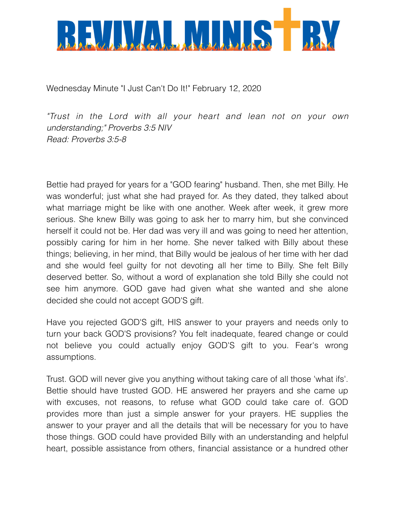

Wednesday Minute "I Just Can't Do It!" February 12, 2020

*"Trust in the Lord with all your heart and lean not on your own understanding;" Proverbs 3:5 NIV Read: Proverbs 3:5-8* 

Bettie had prayed for years for a "GOD fearing" husband. Then, she met Billy. He was wonderful; just what she had prayed for. As they dated, they talked about what marriage might be like with one another. Week after week, it grew more serious. She knew Billy was going to ask her to marry him, but she convinced herself it could not be. Her dad was very ill and was going to need her attention, possibly caring for him in her home. She never talked with Billy about these things; believing, in her mind, that Billy would be jealous of her time with her dad and she would feel guilty for not devoting all her time to Billy. She felt Billy deserved better. So, without a word of explanation she told Billy she could not see him anymore. GOD gave had given what she wanted and she alone decided she could not accept GOD'S gift.

Have you rejected GOD'S gift, HIS answer to your prayers and needs only to turn your back GOD'S provisions? You felt inadequate, feared change or could not believe you could actually enjoy GOD'S gift to you. Fear's wrong assumptions.

Trust. GOD will never give you anything without taking care of all those 'what ifs'. Bettie should have trusted GOD. HE answered her prayers and she came up with excuses, not reasons, to refuse what GOD could take care of. GOD provides more than just a simple answer for your prayers. HE supplies the answer to your prayer and all the details that will be necessary for you to have those things. GOD could have provided Billy with an understanding and helpful heart, possible assistance from others, financial assistance or a hundred other